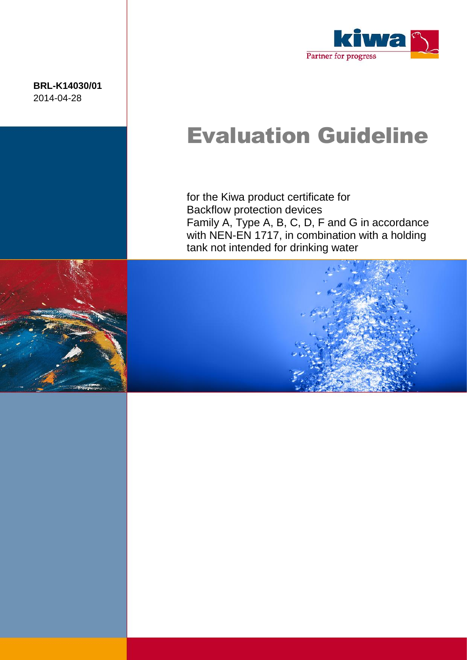**BRL-K14030/01** 2014-04-28



# Evaluation Guideline

for the Kiwa product certificate for Backflow protection devices Family A, Type A, B, C, D, F and G in accordance with NEN-EN 1717, in combination with a holding tank not intended for drinking water



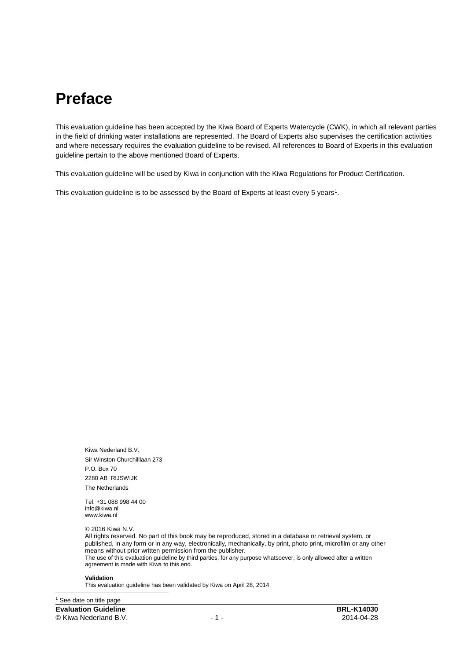### **Preface**

This evaluation guideline has been accepted by the Kiwa Board of Experts Watercycle (CWK), in which all relevant parties in the field of drinking water installations are represented. The Board of Experts also supervises the certification activities and where necessary requires the evaluation guideline to be revised. All references to Board of Experts in this evaluation guideline pertain to the above mentioned Board of Experts.

This evaluation guideline will be used by Kiwa in conjunction with the Kiwa Regulations for Product Certification.

This evaluation guideline is to be assessed by the Board of Experts at least every 5 years<sup>1</sup>.

Kiwa Nederland B.V. Sir Winston Churchilllaan 273 P.O. Box 70 2280 AB RIJSWIJK The Netherlands

Tel. +31 088 998 44 00 info@kiwa.nl www.kiwa.nl

© 2016 Kiwa N.V.

All rights reserved. No part of this book may be reproduced, stored in a database or retrieval system, or published, in any form or in any way, electronically, mechanically, by print, photo print, microfilm or any other means without prior written permission from the publisher. The use of this evaluation guideline by third parties, for any purpose whatsoever, is only allowed after a written agreement is made with Kiwa to this end.

#### **Validation**

This evaluation guideline has been validated by Kiwa on April 28, 2014

**Evaluation Guideline BRL-K14030** © Kiwa Nederland B.V. - 1 - 2014-04-28 <sup>1</sup> See date on title page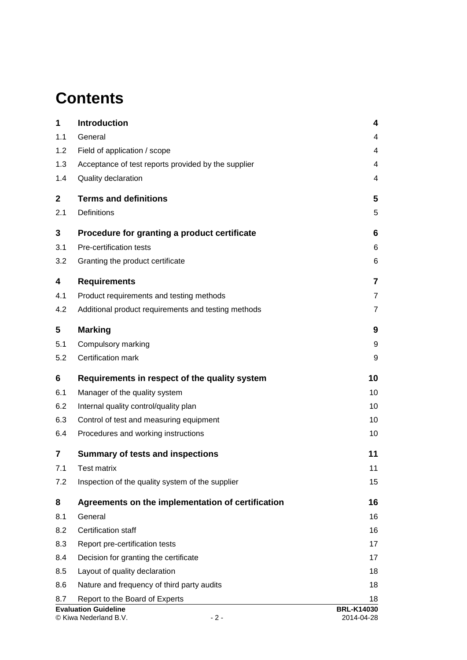### **Contents**

| 1           | <b>Introduction</b>                                           | 4                               |
|-------------|---------------------------------------------------------------|---------------------------------|
| 1.1         | General                                                       | 4                               |
| 1.2         | Field of application / scope                                  | 4                               |
| 1.3         | Acceptance of test reports provided by the supplier           | 4                               |
| 1.4         | Quality declaration                                           | 4                               |
| $\mathbf 2$ | <b>Terms and definitions</b>                                  | 5                               |
| 2.1         | Definitions                                                   | 5                               |
| 3           | Procedure for granting a product certificate                  | 6                               |
| 3.1         | Pre-certification tests                                       | 6                               |
| 3.2         | Granting the product certificate                              | 6                               |
| 4           | <b>Requirements</b>                                           | $\overline{7}$                  |
| 4.1         | Product requirements and testing methods                      | $\overline{7}$                  |
| 4.2         | Additional product requirements and testing methods           | $\overline{7}$                  |
| 5           | <b>Marking</b>                                                | 9                               |
| 5.1         | Compulsory marking                                            | 9                               |
| 5.2         | Certification mark                                            | 9                               |
| 6           | Requirements in respect of the quality system                 | 10                              |
| 6.1         | Manager of the quality system                                 | 10                              |
| 6.2         | Internal quality control/quality plan                         | 10                              |
| 6.3         | Control of test and measuring equipment                       | 10                              |
| 6.4         | Procedures and working instructions                           | 10                              |
| 7           | <b>Summary of tests and inspections</b>                       | 11                              |
| 7.1         | Test matrix                                                   | 11                              |
| 7.2         | Inspection of the quality system of the supplier              | 15                              |
| 8           | Agreements on the implementation of certification             | 16                              |
| 8.1         | General                                                       | 16                              |
| 8.2         | Certification staff                                           | 16                              |
| 8.3         | Report pre-certification tests                                | 17                              |
| 8.4         | Decision for granting the certificate                         | 17                              |
| 8.5         | Layout of quality declaration                                 | 18                              |
| 8.6         | Nature and frequency of third party audits                    | 18                              |
| 8.7         | Report to the Board of Experts                                | 18                              |
|             | <b>Evaluation Guideline</b><br>© Kiwa Nederland B.V.<br>$-2-$ | <b>BRL-K14030</b><br>2014-04-28 |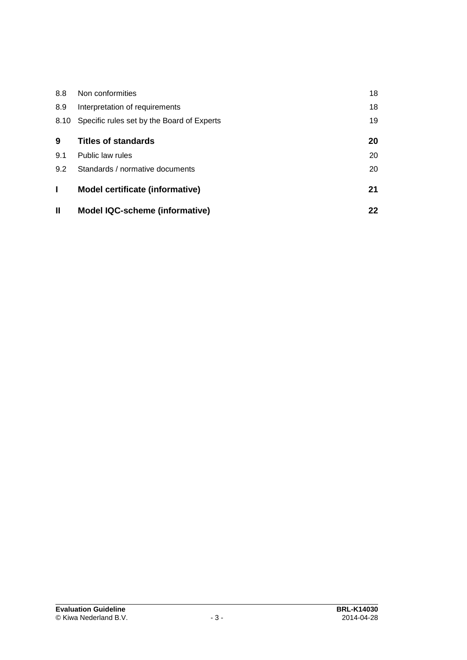| 8.8          | Non conformities                           | 18 |
|--------------|--------------------------------------------|----|
| 8.9          | Interpretation of requirements             | 18 |
| 8.10         | Specific rules set by the Board of Experts | 19 |
| 9            | <b>Titles of standards</b>                 | 20 |
| 9.1          | Public law rules                           | 20 |
| 9.2          | Standards / normative documents            | 20 |
| I.           | Model certificate (informative)            | 21 |
| $\mathbf{H}$ | <b>Model IQC-scheme (informative)</b>      | 22 |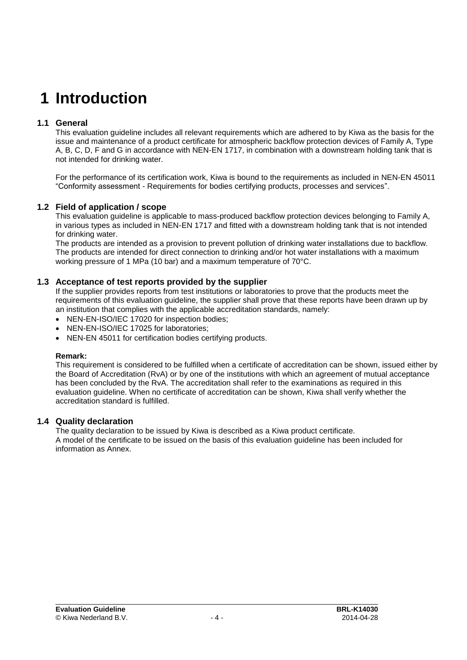### **1 Introduction**

#### **1.1 General**

This evaluation guideline includes all relevant requirements which are adhered to by Kiwa as the basis for the issue and maintenance of a product certificate for atmospheric backflow protection devices of Family A, Type A, B, C, D, F and G in accordance with NEN-EN 1717, in combination with a downstream holding tank that is not intended for drinking water.

For the performance of its certification work, Kiwa is bound to the requirements as included in NEN-EN 45011 "Conformity assessment - Requirements for bodies certifying products, processes and services".

#### **1.2 Field of application / scope**

This evaluation guideline is applicable to mass-produced backflow protection devices belonging to Family A, in various types as included in NEN-EN 1717 and fitted with a downstream holding tank that is not intended for drinking water.

The products are intended as a provision to prevent pollution of drinking water installations due to backflow. The products are intended for direct connection to drinking and/or hot water installations with a maximum working pressure of 1 MPa (10 bar) and a maximum temperature of 70°C.

#### **1.3 Acceptance of test reports provided by the supplier**

If the supplier provides reports from test institutions or laboratories to prove that the products meet the requirements of this evaluation guideline, the supplier shall prove that these reports have been drawn up by an institution that complies with the applicable accreditation standards, namely:

- NEN-EN-ISO/IEC 17020 for inspection bodies:
- NEN-EN-ISO/IEC 17025 for laboratories;
- NEN-EN 45011 for certification bodies certifying products.

#### **Remark:**

This requirement is considered to be fulfilled when a certificate of accreditation can be shown, issued either by the Board of Accreditation (RvA) or by one of the institutions with which an agreement of mutual acceptance has been concluded by the RvA. The accreditation shall refer to the examinations as required in this evaluation guideline. When no certificate of accreditation can be shown, Kiwa shall verify whether the accreditation standard is fulfilled.

#### **1.4 Quality declaration**

The quality declaration to be issued by Kiwa is described as a Kiwa product certificate. A model of the certificate to be issued on the basis of this evaluation guideline has been included for information as Annex.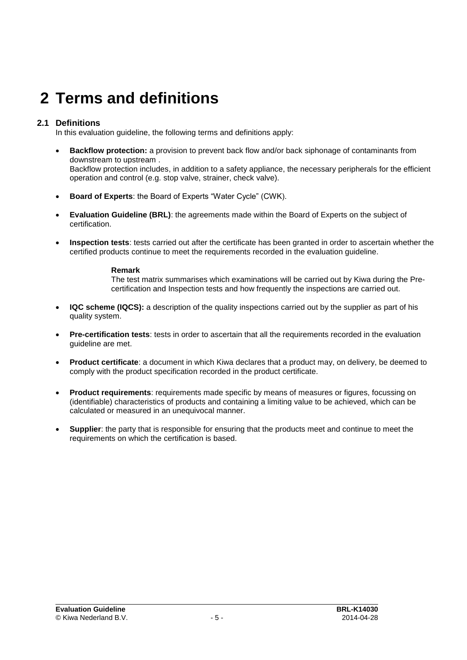## **2 Terms and definitions**

#### **2.1 Definitions**

In this evaluation guideline, the following terms and definitions apply:

- **Backflow protection:** a provision to prevent back flow and/or back siphonage of contaminants from downstream to upstream . Backflow protection includes, in addition to a safety appliance, the necessary peripherals for the efficient operation and control (e.g. stop valve, strainer, check valve).
- **Board of Experts**: the Board of Experts "Water Cycle" (CWK).
- **Evaluation Guideline (BRL)**: the agreements made within the Board of Experts on the subject of certification.
- **Inspection tests**: tests carried out after the certificate has been granted in order to ascertain whether the certified products continue to meet the requirements recorded in the evaluation guideline.

#### **Remark**

The test matrix summarises which examinations will be carried out by Kiwa during the Precertification and Inspection tests and how frequently the inspections are carried out.

- **IQC scheme (IQCS):** a description of the quality inspections carried out by the supplier as part of his quality system.
- **Pre-certification tests**: tests in order to ascertain that all the requirements recorded in the evaluation guideline are met.
- **Product certificate**: a document in which Kiwa declares that a product may, on delivery, be deemed to comply with the product specification recorded in the product certificate.
- **Product requirements**: requirements made specific by means of measures or figures, focussing on (identifiable) characteristics of products and containing a limiting value to be achieved, which can be calculated or measured in an unequivocal manner.
- **Supplier**: the party that is responsible for ensuring that the products meet and continue to meet the requirements on which the certification is based.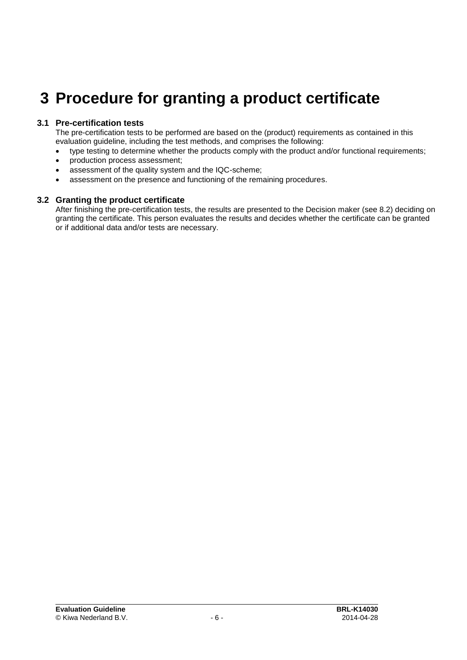### **3 Procedure for granting a product certificate**

#### **3.1 Pre-certification tests**

The pre-certification tests to be performed are based on the (product) requirements as contained in this evaluation guideline, including the test methods, and comprises the following:

- type testing to determine whether the products comply with the product and/or functional requirements;
- production process assessment;
- assessment of the quality system and the IQC-scheme;
- assessment on the presence and functioning of the remaining procedures.

#### **3.2 Granting the product certificate**

After finishing the pre-certification tests, the results are presented to the Decision maker (see [8.2\)](#page-16-0) deciding on granting the certificate. This person evaluates the results and decides whether the certificate can be granted or if additional data and/or tests are necessary.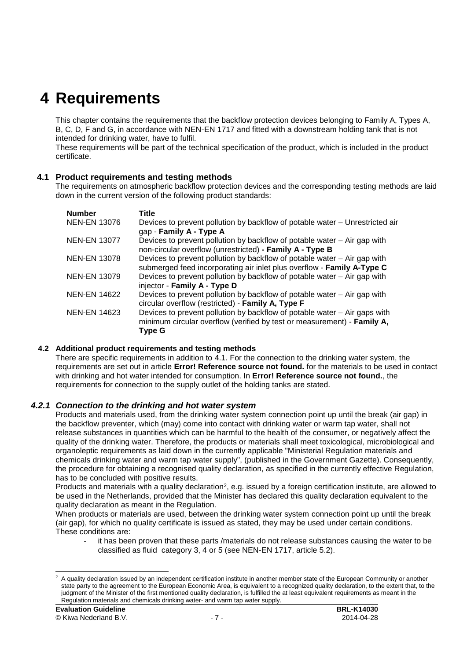### **4 Requirements**

This chapter contains the requirements that the backflow protection devices belonging to Family A, Types A, B, C, D, F and G, in accordance with NEN-EN 1717 and fitted with a downstream holding tank that is not intended for drinking water, have to fulfil.

These requirements will be part of the technical specification of the product, which is included in the product certificate.

#### **4.1 Product requirements and testing methods**

The requirements on atmospheric backflow protection devices and the corresponding testing methods are laid down in the current version of the following product standards:

| <b>Number</b>       | Title                                                                        |
|---------------------|------------------------------------------------------------------------------|
| <b>NEN-EN 13076</b> | Devices to prevent pollution by backflow of potable water - Unrestricted air |
|                     | gap - Family A - Type A                                                      |
| <b>NEN-EN 13077</b> | Devices to prevent pollution by backflow of potable water – Air gap with     |
|                     | non-circular overflow (unrestricted) - Family A - Type B                     |
| <b>NEN-EN 13078</b> | Devices to prevent pollution by backflow of potable water – Air gap with     |
|                     | submerged feed incorporating air inlet plus overflow - Family A-Type C       |
| <b>NEN-EN 13079</b> | Devices to prevent pollution by backflow of potable water - Air gap with     |
|                     | injector - Family A - Type D                                                 |
| <b>NEN-EN 14622</b> | Devices to prevent pollution by backflow of potable water - Air gap with     |
|                     | circular overflow (restricted) - Family A, Type F                            |
| <b>NEN-EN 14623</b> | Devices to prevent pollution by backflow of potable water - Air gaps with    |
|                     | minimum circular overflow (verified by test or measurement) - Family A,      |
|                     | Type G                                                                       |

#### **4.2 Additional product requirements and testing methods**

There are specific requirements in addition to 4.1. For the connection to the drinking water system, the requirements are set out in article **Error! Reference source not found.** for the materials to be used in contact with drinking and hot water intended for consumption. In **Error! Reference source not found.**, the requirements for connection to the supply outlet of the holding tanks are stated.

#### *4.2.1 Connection to the drinking and hot water system*

Products and materials used, from the drinking water system connection point up until the break (air gap) in the backflow preventer, which (may) come into contact with drinking water or warm tap water, shall not release substances in quantities which can be harmful to the health of the consumer, or negatively affect the quality of the drinking water. Therefore, the products or materials shall meet toxicological, microbiological and organoleptic requirements as laid down in the currently applicable "Ministerial Regulation materials and chemicals drinking water and warm tap water supply", (published in the Government Gazette). Consequently, the procedure for obtaining a recognised quality declaration, as specified in the currently effective Regulation, has to be concluded with positive results.

Products and materials with a quality declaration<sup>2</sup>, e.g. issued by a foreign certification institute, are allowed to be used in the Netherlands, provided that the Minister has declared this quality declaration equivalent to the quality declaration as meant in the Regulation.

When products or materials are used, between the drinking water system connection point up until the break (air gap), for which no quality certificate is issued as stated, they may be used under certain conditions. These conditions are:

it has been proven that these parts /materials do not release substances causing the water to be classified as fluid category 3, 4 or 5 (see NEN-EN 1717, article 5.2).

 $\overline{a}$ 

 $2$  A quality declaration issued by an independent certification institute in another member state of the European Community or another state party to the agreement to the European Economic Area, is equivalent to a recognized quality declaration, to the extent that, to the judgment of the Minister of the first mentioned quality declaration, is fulfilled the at least equivalent requirements as meant in the Regulation materials and chemicals drinking water- and warm tap water supply.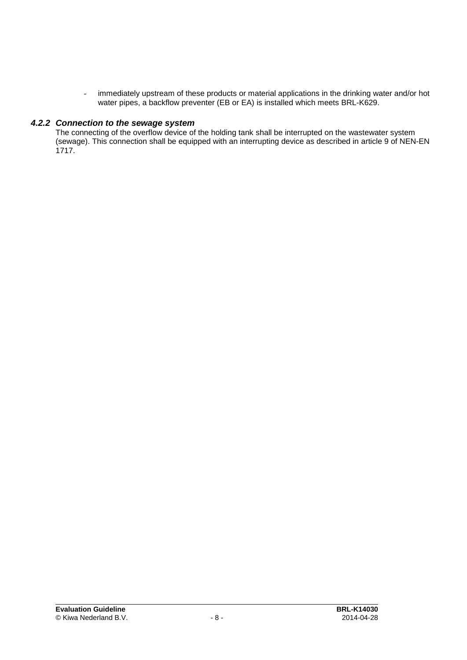- immediately upstream of these products or material applications in the drinking water and/or hot water pipes, a backflow preventer (EB or EA) is installed which meets BRL-K629.

#### *4.2.2 Connection to the sewage system*

The connecting of the overflow device of the holding tank shall be interrupted on the wastewater system (sewage). This connection shall be equipped with an interrupting device as described in article 9 of NEN-EN 1717.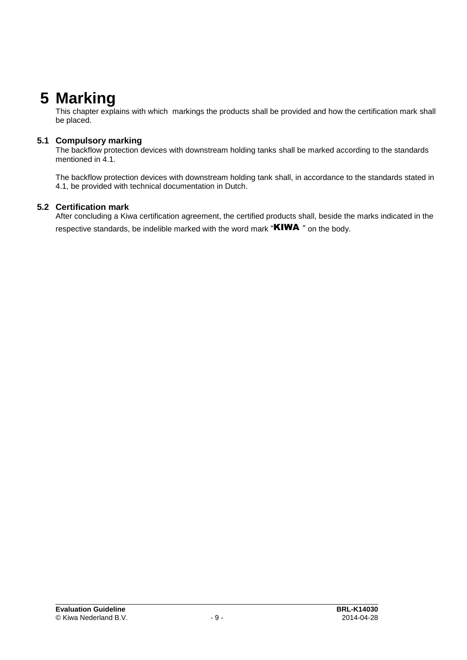### **5 Marking**

This chapter explains with which markings the products shall be provided and how the certification mark shall be placed.

#### **5.1 Compulsory marking**

The backflow protection devices with downstream holding tanks shall be marked according to the standards mentioned in 4.1.

The backflow protection devices with downstream holding tank shall, in accordance to the standards stated in 4.1, be provided with technical documentation in Dutch.

#### **5.2 Certification mark**

After concluding a Kiwa certification agreement, the certified products shall, beside the marks indicated in the respective standards, be indelible marked with the word mark " $KIWA$ " on the body.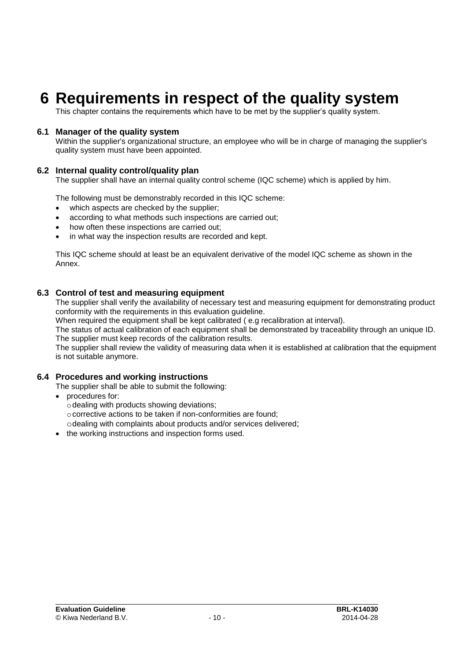### **6 Requirements in respect of the quality system**

This chapter contains the requirements which have to be met by the supplier's quality system.

#### **6.1 Manager of the quality system**

Within the supplier's organizational structure, an employee who will be in charge of managing the supplier's quality system must have been appointed.

#### **6.2 Internal quality control/quality plan**

The supplier shall have an internal quality control scheme (IQC scheme) which is applied by him.

The following must be demonstrably recorded in this IQC scheme:

- which aspects are checked by the supplier;
- according to what methods such inspections are carried out;
- how often these inspections are carried out;
- in what way the inspection results are recorded and kept.

This IQC scheme should at least be an equivalent derivative of the model IQC scheme as shown in the Annex.

#### **6.3 Control of test and measuring equipment**

The supplier shall verify the availability of necessary test and measuring equipment for demonstrating product conformity with the requirements in this evaluation guideline.

When required the equipment shall be kept calibrated (e.g recalibration at interval).

The status of actual calibration of each equipment shall be demonstrated by traceability through an unique ID. The supplier must keep records of the calibration results.

The supplier shall review the validity of measuring data when it is established at calibration that the equipment is not suitable anymore.

#### **6.4 Procedures and working instructions**

The supplier shall be able to submit the following:

- procedures for:
	- odealing with products showing deviations;
	- ocorrective actions to be taken if non-conformities are found;

odealing with complaints about products and/or services delivered;

• the working instructions and inspection forms used.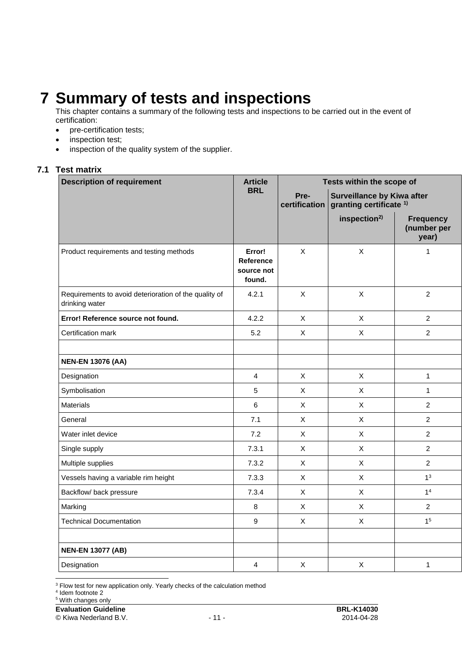### **7 Summary of tests and inspections**

This chapter contains a summary of the following tests and inspections to be carried out in the event of certification:

- pre-certification tests;
- inspection test;
- inspection of the quality system of the supplier.

#### **7.1 Test matrix**

| <b>Description of requirement</b>                                       | <b>Article</b>                                     | Tests within the scope of |                                                                         |                                          |
|-------------------------------------------------------------------------|----------------------------------------------------|---------------------------|-------------------------------------------------------------------------|------------------------------------------|
|                                                                         | <b>BRL</b>                                         | Pre-<br>certification     | <b>Surveillance by Kiwa after</b><br>granting certificate <sup>1)</sup> |                                          |
|                                                                         |                                                    |                           | inspection <sup>2)</sup>                                                | <b>Frequency</b><br>(number per<br>year) |
| Product requirements and testing methods                                | Error!<br><b>Reference</b><br>source not<br>found. | X                         | $\mathsf X$                                                             | $\mathbf{1}$                             |
| Requirements to avoid deterioration of the quality of<br>drinking water | 4.2.1                                              | $\mathsf{X}$              | $\pmb{\times}$                                                          | $\overline{2}$                           |
| Error! Reference source not found.                                      | 4.2.2                                              | $\mathsf{X}$              | X                                                                       | $\overline{2}$                           |
| Certification mark                                                      | 5.2                                                | $\mathsf{X}$              | $\mathsf X$                                                             | $\overline{2}$                           |
| <b>NEN-EN 13076 (AA)</b>                                                |                                                    |                           |                                                                         |                                          |
| Designation                                                             | 4                                                  | $\mathsf{X}$              | X                                                                       | $\mathbf{1}$                             |
| Symbolisation                                                           | 5                                                  | X                         | $\mathsf X$                                                             | $\mathbf{1}$                             |
| <b>Materials</b>                                                        | 6                                                  | $\mathsf{X}$              | X                                                                       | $\overline{2}$                           |
| General                                                                 | 7.1                                                | $\mathsf{X}$              | X                                                                       | $\overline{2}$                           |
| Water inlet device                                                      | 7.2                                                | X                         | $\mathsf X$                                                             | $\overline{2}$                           |
| Single supply                                                           | 7.3.1                                              | $\mathsf{X}$              | X                                                                       | $\overline{2}$                           |
| Multiple supplies                                                       | 7.3.2                                              | $\pmb{\times}$            | $\sf X$                                                                 | $\overline{2}$                           |
| Vessels having a variable rim height                                    | 7.3.3                                              | $\mathsf{X}$              | Χ                                                                       | 1 <sup>3</sup>                           |
| Backflow/ back pressure                                                 | 7.3.4                                              | $\mathsf{X}$              | $\mathsf X$                                                             | 1 <sup>4</sup>                           |
| Marking                                                                 | 8                                                  | $\mathsf X$               | $\mathsf X$                                                             | $\overline{2}$                           |
| <b>Technical Documentation</b>                                          | 9                                                  | $\pmb{\times}$            | Χ                                                                       | 1 <sup>5</sup>                           |
| <b>NEN-EN 13077 (AB)</b>                                                |                                                    |                           |                                                                         |                                          |
| Designation                                                             | 4                                                  | $\mathsf X$               | $\mathsf X$                                                             | $\mathbf{1}$                             |
|                                                                         |                                                    |                           |                                                                         |                                          |

<sup>3</sup> Flow test for new application only. Yearly checks of the calculation method<br><sup>4</sup> Idem footnote 2

© Kiwa Nederland B.V. - 11 - 2014-04-28

<sup>&</sup>lt;sup>5</sup> With changes only

**Evaluation Guideline BRL-K14030**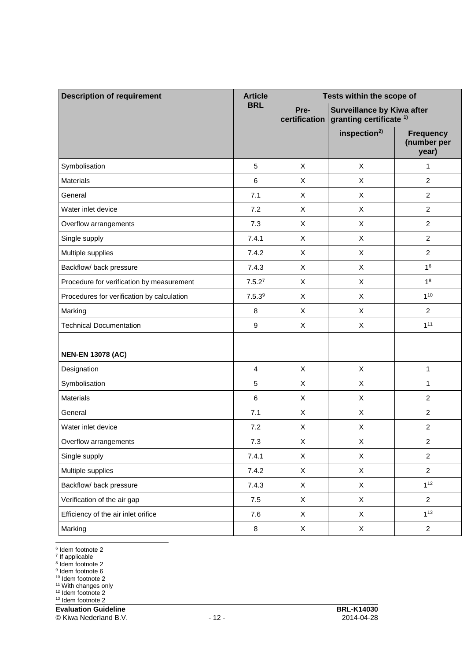| <b>Description of requirement</b>          | <b>Article</b>     | Tests within the scope of                                                                        |                          |                                          |
|--------------------------------------------|--------------------|--------------------------------------------------------------------------------------------------|--------------------------|------------------------------------------|
|                                            | <b>BRL</b>         | <b>Surveillance by Kiwa after</b><br>Pre-<br>granting certificate <sup>1)</sup><br>certification |                          |                                          |
|                                            |                    |                                                                                                  | inspection <sup>2)</sup> | <b>Frequency</b><br>(number per<br>year) |
| Symbolisation                              | 5                  | $\mathsf X$                                                                                      | X                        | $\mathbf{1}$                             |
| <b>Materials</b>                           | 6                  | X                                                                                                | X                        | $\overline{2}$                           |
| General                                    | 7.1                | X                                                                                                | X                        | $\overline{2}$                           |
| Water inlet device                         | 7.2                | X                                                                                                | X                        | $\overline{2}$                           |
| Overflow arrangements                      | 7.3                | X                                                                                                | X                        | $\overline{2}$                           |
| Single supply                              | 7.4.1              | $\pmb{\times}$                                                                                   | X                        | $\overline{c}$                           |
| Multiple supplies                          | 7.4.2              | X                                                                                                | X                        | $\overline{2}$                           |
| Backflow/ back pressure                    | 7.4.3              | X                                                                                                | X                        | 1 <sup>6</sup>                           |
| Procedure for verification by measurement  | 7.5.2 <sup>7</sup> | X                                                                                                | X                        | 1 <sup>8</sup>                           |
| Procedures for verification by calculation | 7.5.3 <sup>9</sup> | X                                                                                                | X                        | $1^{10}$                                 |
| Marking                                    | 8                  | X                                                                                                | X                        | $\overline{2}$                           |
| <b>Technical Documentation</b>             | 9                  | X                                                                                                | X                        | 1 <sup>11</sup>                          |
|                                            |                    |                                                                                                  |                          |                                          |
| <b>NEN-EN 13078 (AC)</b>                   |                    |                                                                                                  |                          |                                          |
| Designation                                | 4                  | X                                                                                                | X                        | 1                                        |
| Symbolisation                              | 5                  | X                                                                                                | X                        | 1                                        |
| <b>Materials</b>                           | 6                  | X                                                                                                | X                        | $\overline{c}$                           |
| General                                    | 7.1                | X                                                                                                | X                        | $\overline{2}$                           |
| Water inlet device                         | 7.2                | X                                                                                                | X                        | $\overline{c}$                           |
| Overflow arrangements                      | 7.3                | X                                                                                                | X                        | $\overline{c}$                           |
| Single supply                              | 7.4.1              | $\mathsf{X}$                                                                                     | X                        | $\overline{2}$                           |
| Multiple supplies                          | 7.4.2              | X                                                                                                | $\mathsf X$              | $\overline{2}$                           |
| Backflow/ back pressure                    | 7.4.3              | $\mathsf X$                                                                                      | $\mathsf X$              | $1^{12}$                                 |
| Verification of the air gap                | $7.5\,$            | X                                                                                                | $\mathsf X$              | $\overline{2}$                           |
| Efficiency of the air inlet orifice        | 7.6                | X                                                                                                | X                        | $1^{13}$                                 |
| Marking                                    | 8                  | $\mathsf X$                                                                                      | $\mathsf X$              | $\overline{2}$                           |

<sup>6</sup> Idem footnote 2<br><sup>7</sup> If applicable<br><sup>8</sup> Idem footnote 2<br><sup>9</sup> Idem footnote 6

<sup>10</sup> Idem footnote 2

<sup>11</sup> With changes only

<sup>12</sup> Idem footnote 2

<sup>13</sup> Idem footnote 2

**Evaluation Guideline BRL-K14030** 

© Kiwa Nederland B.V. - 12 - 2014-04-28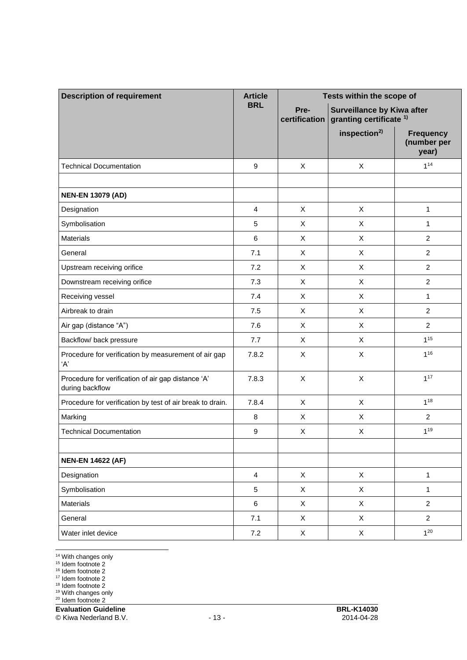| <b>Description of requirement</b>                                     | <b>Article</b>   | Tests within the scope of                                                                        |                          |                                          |
|-----------------------------------------------------------------------|------------------|--------------------------------------------------------------------------------------------------|--------------------------|------------------------------------------|
|                                                                       | <b>BRL</b>       | <b>Surveillance by Kiwa after</b><br>Pre-<br>granting certificate <sup>1)</sup><br>certification |                          |                                          |
|                                                                       |                  |                                                                                                  | inspection <sup>2)</sup> | <b>Frequency</b><br>(number per<br>year) |
| <b>Technical Documentation</b>                                        | 9                | X                                                                                                | X                        | $1^{14}$                                 |
|                                                                       |                  |                                                                                                  |                          |                                          |
| <b>NEN-EN 13079 (AD)</b>                                              |                  |                                                                                                  |                          |                                          |
| Designation                                                           | $\overline{4}$   | X                                                                                                | X                        | 1                                        |
| Symbolisation                                                         | 5                | X                                                                                                | X                        | $\mathbf{1}$                             |
| <b>Materials</b>                                                      | 6                | X                                                                                                | X                        | $\overline{2}$                           |
| General                                                               | 7.1              | X                                                                                                | X                        | $\overline{2}$                           |
| Upstream receiving orifice                                            | 7.2              | X                                                                                                | X                        | $\overline{2}$                           |
| Downstream receiving orifice                                          | 7.3              | X                                                                                                | X                        | $\overline{c}$                           |
| Receiving vessel                                                      | 7.4              | X                                                                                                | X                        | $\mathbf{1}$                             |
| Airbreak to drain                                                     | 7.5              | X                                                                                                | X                        | $\overline{2}$                           |
| Air gap (distance "A")                                                | 7.6              | X                                                                                                | X                        | $\overline{2}$                           |
| Backflow/ back pressure                                               | 7.7              | X                                                                                                | X                        | $1^{15}$                                 |
| Procedure for verification by measurement of air gap<br>'A'           | 7.8.2            | X                                                                                                | $\pmb{\times}$           | $1^{16}$                                 |
| Procedure for verification of air gap distance 'A'<br>during backflow | 7.8.3            | X                                                                                                | $\mathsf X$              | $1^{17}$                                 |
| Procedure for verification by test of air break to drain.             | 7.8.4            | X                                                                                                | X                        | $1^{18}$                                 |
| Marking                                                               | 8                | X                                                                                                | X                        | $\overline{2}$                           |
| <b>Technical Documentation</b>                                        | $\boldsymbol{9}$ | X                                                                                                | X                        | 119                                      |
|                                                                       |                  |                                                                                                  |                          |                                          |
| <b>NEN-EN 14622 (AF)</b>                                              |                  |                                                                                                  |                          |                                          |
| Designation                                                           | $\overline{4}$   | X                                                                                                | $\mathsf X$              | 1                                        |
| Symbolisation                                                         | $\sqrt{5}$       | X                                                                                                | $\mathsf X$              | $\mathbf{1}$                             |
| <b>Materials</b>                                                      | $\,6$            | X                                                                                                | $\mathsf X$              | $\overline{2}$                           |
| General                                                               | 7.1              | $\mathsf X$                                                                                      | $\mathsf X$              | $\overline{c}$                           |
| Water inlet device                                                    | 7.2              | X                                                                                                | X                        | $1^{20}$                                 |

<sup>14</sup> With changes only

<sup>15</sup> Idem footnote 2

<sup>16</sup> Idem footnote 2

<sup>17</sup> Idem footnote 2

<sup>18</sup> Idem footnote 2

<sup>19</sup> With changes only

<sup>20</sup> Idem footnote 2

**Evaluation Guideline BRL-K14030** 

© Kiwa Nederland B.V. - 13 - 2014-04-28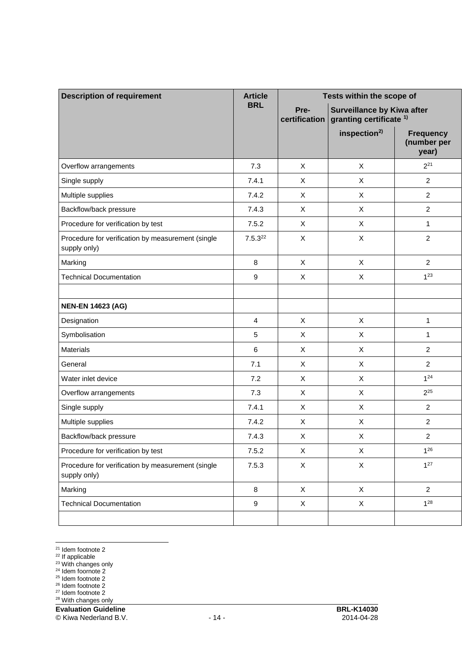| <b>Description of requirement</b>                                 | <b>Article</b> | Tests within the scope of                                                                        |                          |                                          |
|-------------------------------------------------------------------|----------------|--------------------------------------------------------------------------------------------------|--------------------------|------------------------------------------|
|                                                                   | <b>BRL</b>     | Pre-<br><b>Surveillance by Kiwa after</b><br>granting certificate <sup>1)</sup><br>certification |                          |                                          |
|                                                                   |                |                                                                                                  | inspection <sup>2)</sup> | <b>Frequency</b><br>(number per<br>year) |
| Overflow arrangements                                             | 7.3            | X                                                                                                | X                        | $2^{21}$                                 |
| Single supply                                                     | 7.4.1          | X                                                                                                | X                        | $\overline{2}$                           |
| Multiple supplies                                                 | 7.4.2          | X                                                                                                | X                        | $\overline{c}$                           |
| Backflow/back pressure                                            | 7.4.3          | X                                                                                                | X                        | $\overline{c}$                           |
| Procedure for verification by test                                | 7.5.2          | X                                                                                                | X                        | $\mathbf{1}$                             |
| Procedure for verification by measurement (single<br>supply only) | $7.5.3^{22}$   | $\pmb{\times}$                                                                                   | X                        | $\overline{c}$                           |
| Marking                                                           | 8              | X                                                                                                | X                        | $\overline{2}$                           |
| <b>Technical Documentation</b>                                    | 9              | X                                                                                                | X                        | $1^{23}$                                 |
|                                                                   |                |                                                                                                  |                          |                                          |
| <b>NEN-EN 14623 (AG)</b>                                          |                |                                                                                                  |                          |                                          |
| Designation                                                       | $\overline{4}$ | X                                                                                                | X                        | 1                                        |
| Symbolisation                                                     | 5              | X                                                                                                | X                        | $\mathbf{1}$                             |
| <b>Materials</b>                                                  | 6              | $\pmb{\times}$                                                                                   | $\mathsf X$              | $\overline{2}$                           |
| General                                                           | 7.1            | X                                                                                                | X                        | $\overline{2}$                           |
| Water inlet device                                                | 7.2            | X                                                                                                | X                        | $1^{24}$                                 |
| Overflow arrangements                                             | 7.3            | X                                                                                                | X                        | $2^{25}$                                 |
| Single supply                                                     | 7.4.1          | X                                                                                                | X                        | $\overline{c}$                           |
| Multiple supplies                                                 | 7.4.2          | X                                                                                                | X                        | $\sqrt{2}$                               |
| Backflow/back pressure                                            | 7.4.3          | X                                                                                                | X                        | $\overline{\mathbf{c}}$                  |
| Procedure for verification by test                                | 7.5.2          | X                                                                                                | X                        | $1^{26}$                                 |
| Procedure for verification by measurement (single<br>supply only) | 7.5.3          | $\mathsf X$                                                                                      | $\mathsf X$              | $1^{27}$                                 |
| Marking                                                           | 8              | X                                                                                                | $\mathsf X$              | $\overline{2}$                           |
| <b>Technical Documentation</b>                                    | 9              | X                                                                                                | $\mathsf X$              | $1^{28}$                                 |
|                                                                   |                |                                                                                                  |                          |                                          |

 $\overline{a}$ <sup>21</sup> Idem footnote 2

<sup>22</sup> If applicable

<sup>23</sup> With changes only

<sup>24</sup> Idem foornote 2

<sup>25</sup> Idem footnote 2

<sup>26</sup> Idem footnote 2

<sup>27</sup> Idem footnote 2

<sup>28</sup> With changes only

**Evaluation Guideline BRL-K14030** 

© Kiwa Nederland B.V. - 14 - 2014-04-28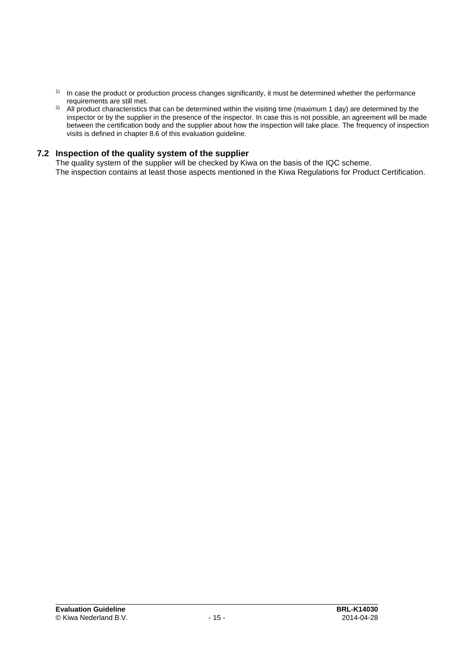- $1)$  In case the product or production process changes significantly, it must be determined whether the performance requirements are still met.
- <sup>2)</sup> All product characteristics that can be determined within the visiting time (maximum 1 day) are determined by the inspector or by the supplier in the presence of the inspector. In case this is not possible, an agreement will be made between the certification body and the supplier about how the inspection will take place. The frequency of inspection visits is defined in chapter [8.6](#page-18-0) of this evaluation guideline.

#### **7.2 Inspection of the quality system of the supplier**

The quality system of the supplier will be checked by Kiwa on the basis of the IQC scheme. The inspection contains at least those aspects mentioned in the Kiwa Regulations for Product Certification.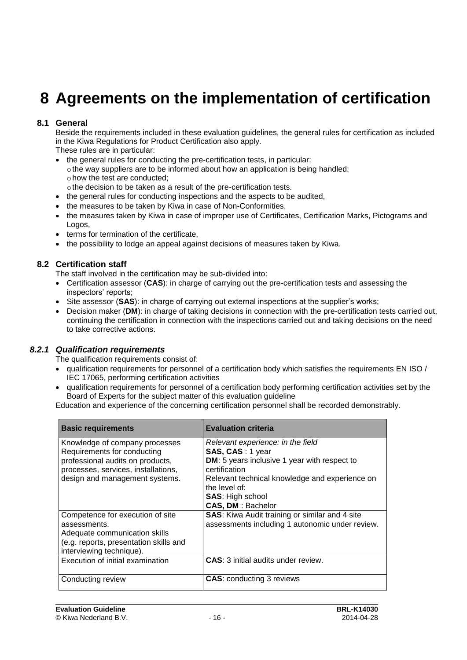### **8 Agreements on the implementation of certification**

#### **8.1 General**

Beside the requirements included in these evaluation guidelines, the general rules for certification as included in the Kiwa Regulations for Product Certification also apply.

These rules are in particular:

- the general rules for conducting the pre-certification tests, in particular:
- $\circ$  the way suppliers are to be informed about how an application is being handled; ohow the test are conducted;
- othe decision to be taken as a result of the pre-certification tests.
- the general rules for conducting inspections and the aspects to be audited,
- the measures to be taken by Kiwa in case of Non-Conformities,
- the measures taken by Kiwa in case of improper use of Certificates, Certification Marks, Pictograms and Logos,
- terms for termination of the certificate,
- <span id="page-16-0"></span>• the possibility to lodge an appeal against decisions of measures taken by Kiwa.

#### **8.2 Certification staff**

The staff involved in the certification may be sub-divided into:

- Certification assessor (**CAS**): in charge of carrying out the pre-certification tests and assessing the inspectors' reports;
- Site assessor (**SAS**): in charge of carrying out external inspections at the supplier's works;
- Decision maker (**DM**): in charge of taking decisions in connection with the pre-certification tests carried out, continuing the certification in connection with the inspections carried out and taking decisions on the need to take corrective actions.

#### *8.2.1 Qualification requirements*

The qualification requirements consist of:

- qualification requirements for personnel of a certification body which satisfies the requirements EN ISO / IEC 17065, performing certification activities
- qualification requirements for personnel of a certification body performing certification activities set by the Board of Experts for the subject matter of this evaluation guideline

Education and experience of the concerning certification personnel shall be recorded demonstrably.

| <b>Basic requirements</b>                                                                         | <b>Evaluation criteria</b>                                                                            |
|---------------------------------------------------------------------------------------------------|-------------------------------------------------------------------------------------------------------|
| Knowledge of company processes<br>Requirements for conducting<br>professional audits on products, | Relevant experience: in the field<br>SAS, CAS: 1 year<br>DM: 5 years inclusive 1 year with respect to |
| processes, services, installations,                                                               | certification                                                                                         |
| design and management systems.                                                                    | Relevant technical knowledge and experience on<br>the level of:                                       |
|                                                                                                   | <b>SAS: High school</b>                                                                               |
|                                                                                                   | <b>CAS, DM: Bachelor</b>                                                                              |
| Competence for execution of site                                                                  | <b>SAS:</b> Kiwa Audit training or similar and 4 site                                                 |
| assessments.                                                                                      | assessments including 1 autonomic under review.                                                       |
| Adequate communication skills                                                                     |                                                                                                       |
| (e.g. reports, presentation skills and                                                            |                                                                                                       |
| interviewing technique).                                                                          |                                                                                                       |
| Execution of initial examination                                                                  | <b>CAS: 3 initial audits under review.</b>                                                            |
| Conducting review                                                                                 | <b>CAS: conducting 3 reviews</b>                                                                      |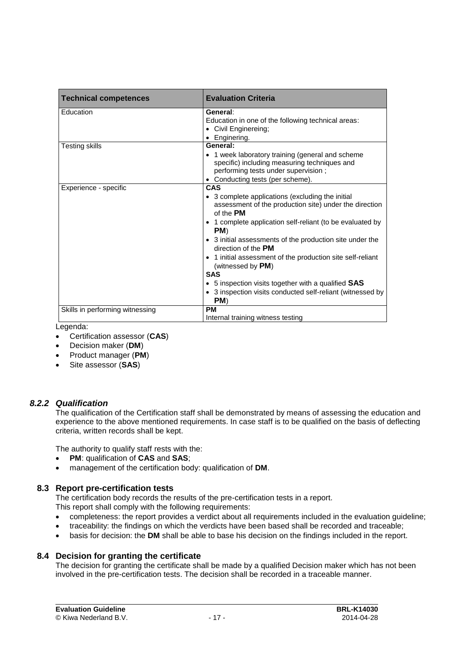| <b>Technical competences</b>    | <b>Evaluation Criteria</b>                                                                                                                                                                                                                                                                                                                                                                                                                                                                                                     |
|---------------------------------|--------------------------------------------------------------------------------------------------------------------------------------------------------------------------------------------------------------------------------------------------------------------------------------------------------------------------------------------------------------------------------------------------------------------------------------------------------------------------------------------------------------------------------|
| Education                       | General:<br>Education in one of the following technical areas:<br>• Civil Enginereing;<br>• Enginering.                                                                                                                                                                                                                                                                                                                                                                                                                        |
| <b>Testing skills</b>           | General:<br>• 1 week laboratory training (general and scheme<br>specific) including measuring techniques and<br>performing tests under supervision;<br>Conducting tests (per scheme).                                                                                                                                                                                                                                                                                                                                          |
| Experience - specific           | CAS<br>• 3 complete applications (excluding the initial<br>assessment of the production site) under the direction<br>of the PM<br>• 1 complete application self-reliant (to be evaluated by<br>PM)<br>• 3 initial assessments of the production site under the<br>direction of the <b>PM</b><br>• 1 initial assessment of the production site self-reliant<br>(witnessed by $PM$ )<br><b>SAS</b><br>• 5 inspection visits together with a qualified $SAS$<br>• 3 inspection visits conducted self-reliant (witnessed by<br>PM) |
| Skills in performing witnessing | <b>PM</b><br>Internal training witness testing                                                                                                                                                                                                                                                                                                                                                                                                                                                                                 |

Legenda:

- Certification assessor (**CAS**)
- Decision maker (**DM**)
- Product manager (**PM**)
- Site assessor (**SAS**)

#### *8.2.2 Qualification*

The qualification of the Certification staff shall be demonstrated by means of assessing the education and experience to the above mentioned requirements. In case staff is to be qualified on the basis of deflecting criteria, written records shall be kept.

The authority to qualify staff rests with the:

- **PM**: qualification of **CAS** and **SAS**;
- management of the certification body: qualification of **DM**.

#### **8.3 Report pre-certification tests**

The certification body records the results of the pre-certification tests in a report.

This report shall comply with the following requirements:

- completeness: the report provides a verdict about all requirements included in the evaluation guideline;
- traceability: the findings on which the verdicts have been based shall be recorded and traceable;
- basis for decision: the **DM** shall be able to base his decision on the findings included in the report.

#### **8.4 Decision for granting the certificate**

The decision for granting the certificate shall be made by a qualified Decision maker which has not been involved in the pre-certification tests. The decision shall be recorded in a traceable manner.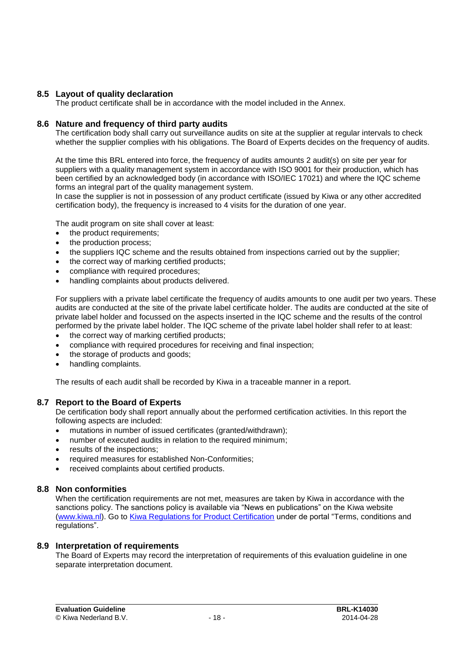#### **8.5 Layout of quality declaration**

<span id="page-18-0"></span>The product certificate shall be in accordance with the model included in the Annex.

#### **8.6 Nature and frequency of third party audits**

The certification body shall carry out surveillance audits on site at the supplier at regular intervals to check whether the supplier complies with his obligations. The Board of Experts decides on the frequency of audits.

At the time this BRL entered into force, the frequency of audits amounts 2 audit(s) on site per year for suppliers with a quality management system in accordance with ISO 9001 for their production, which has been certified by an acknowledged body (in accordance with ISO/IEC 17021) and where the IQC scheme forms an integral part of the quality management system.

In case the supplier is not in possession of any product certificate (issued by Kiwa or any other accredited certification body), the frequency is increased to 4 visits for the duration of one year.

The audit program on site shall cover at least:

- the product requirements;
- the production process:
- the suppliers IQC scheme and the results obtained from inspections carried out by the supplier;
- the correct way of marking certified products;
- compliance with required procedures;
- handling complaints about products delivered.

For suppliers with a private label certificate the frequency of audits amounts to one audit per two years. These audits are conducted at the site of the private label certificate holder. The audits are conducted at the site of private label holder and focussed on the aspects inserted in the IQC scheme and the results of the control performed by the private label holder. The IQC scheme of the private label holder shall refer to at least:

- the correct way of marking certified products;
- compliance with required procedures for receiving and final inspection;
- the storage of products and goods;
- handling complaints.

The results of each audit shall be recorded by Kiwa in a traceable manner in a report.

#### **8.7 Report to the Board of Experts**

De certification body shall report annually about the performed certification activities. In this report the following aspects are included:

- mutations in number of issued certificates (granted/withdrawn);
- number of executed audits in relation to the required minimum;
- results of the inspections;
- required measures for established Non-Conformities;
- received complaints about certified products.

#### **8.8 Non conformities**

When the certification requirements are not met, measures are taken by Kiwa in accordance with the sanctions policy. The sanctions policy is available via "News en publications" on the Kiwa website [\(www.kiwa.nl\)](http://www.kiwa.nl/). Go to [Kiwa Regulations for Product Certification](http://www.kiwa.nl/uploadedFiles/Nieuws_en_publicaties/2014%20Kiwa%20Reglement%20voor%20Productcertificatie%20EN.pdf) under de portal "Terms, conditions and regulations".

#### **8.9 Interpretation of requirements**

The Board of Experts may record the interpretation of requirements of this evaluation guideline in one separate interpretation document.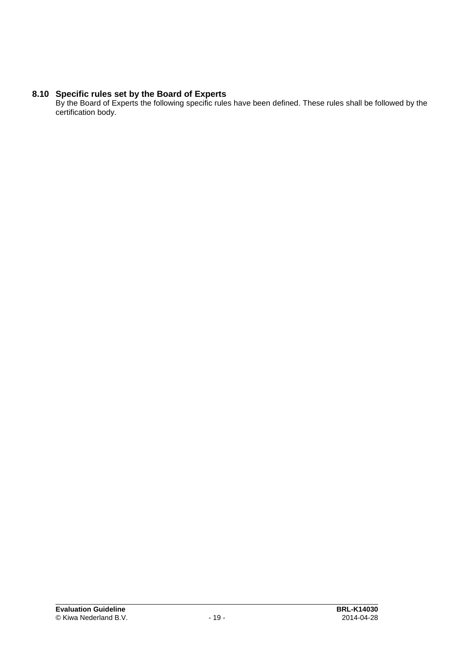#### **8.10 Specific rules set by the Board of Experts**

By the Board of Experts the following specific rules have been defined. These rules shall be followed by the certification body.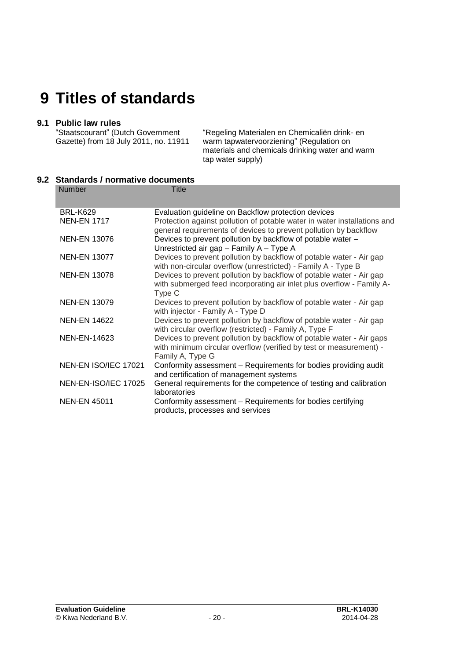### **9 Titles of standards**

#### **9.1 Public law rules**

"Staatscourant" (Dutch Government Gazette) from 18 July 2011, no. 11911

"Regeling Materialen en Chemicaliën drink- en warm tapwatervoorziening" (Regulation on materials and chemicals drinking water and warm tap water supply)

#### **9.2 Standards / normative documents**

| <b>Number</b>        | <b>Title</b>                                                                                                                                 |
|----------------------|----------------------------------------------------------------------------------------------------------------------------------------------|
| <b>BRL-K629</b>      | Evaluation guideline on Backflow protection devices                                                                                          |
| <b>NEN-EN 1717</b>   | Protection against pollution of potable water in water installations and<br>general requirements of devices to prevent pollution by backflow |
| <b>NEN-EN 13076</b>  | Devices to prevent pollution by backflow of potable water -                                                                                  |
|                      | Unrestricted air gap - Family A - Type A                                                                                                     |
| <b>NEN-EN 13077</b>  | Devices to prevent pollution by backflow of potable water - Air gap<br>with non-circular overflow (unrestricted) - Family A - Type B         |
| <b>NEN-EN 13078</b>  | Devices to prevent pollution by backflow of potable water - Air gap                                                                          |
|                      | with submerged feed incorporating air inlet plus overflow - Family A-<br>Type C                                                              |
| <b>NEN-EN 13079</b>  | Devices to prevent pollution by backflow of potable water - Air gap<br>with injector - Family A - Type D                                     |
| <b>NEN-EN 14622</b>  | Devices to prevent pollution by backflow of potable water - Air gap<br>with circular overflow (restricted) - Family A, Type F                |
| NEN-EN-14623         | Devices to prevent pollution by backflow of potable water - Air gaps                                                                         |
|                      | with minimum circular overflow (verified by test or measurement) -                                                                           |
| NEN-EN ISO/IEC 17021 | Family A, Type G<br>Conformity assessment - Requirements for bodies providing audit                                                          |
|                      | and certification of management systems                                                                                                      |
| NEN-EN-ISO/IEC 17025 | General requirements for the competence of testing and calibration<br>laboratories                                                           |
| <b>NEN-EN 45011</b>  | Conformity assessment - Requirements for bodies certifying<br>products, processes and services                                               |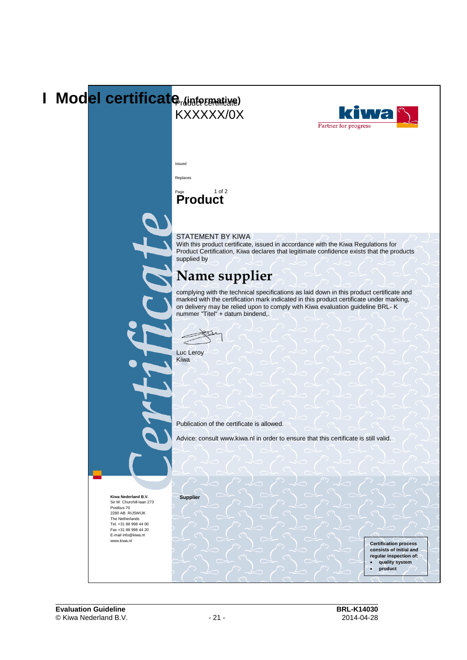### **I** Mod<mark>el certificate *[Sintermatixe*]</mark> **TWa** KXXXXX/0X Partner for progress Issued Replaces 1 of  $2$ **Product** STATEMENT BY KIWA With this product certificate, issued in accordance with the Kiwa Regulations for Product Certification, Kiwa declares that legitimate confidence exists that the products supplied by **Name supplier** complying with the technical specifications as laid down in this product certificate and marked with the certification mark indicated in this product certificate under marking, on delivery may be relied upon to comply with Kiwa evaluation guideline BRL- K nummer "Titel" + datum bindend,. Luc Leroy Kiwa Publication of the certificate is allowed. Advice: consult www.kiwa.nl in order to ensure that this certificate is still valid.**Supplier Kiwa Nederland B.V.** Sir W. Churchill-laan 273 Postbus 70 2280 AB RIJSWIJK The Netherlands Tel. +31 88 998 44 00 Fax +31 88 998 44 20 E-mail info@kiwa.nl www.kiwa.nl **Certification process consists of initial and regular inspection of:** • **quality system** • **product** •